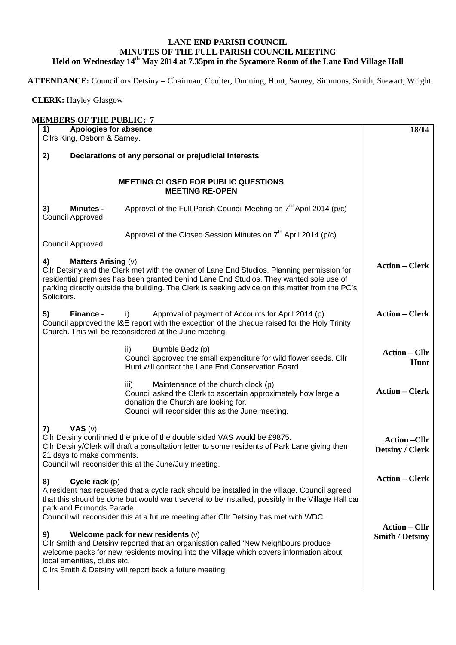## **LANE END PARISH COUNCIL MINUTES OF THE FULL PARISH COUNCIL MEETING Held on Wednesday 14th May 2014 at 7.35pm in the Sycamore Room of the Lane End Village Hall**

**ATTENDANCE:** Councillors Detsiny – Chairman, Coulter, Dunning, Hunt, Sarney, Simmons, Smith, Stewart, Wright.

 **CLERK:** Hayley Glasgow

| 1)<br>Cllrs King, Osborn & Sarney.               | <b>Apologies for absence</b>                                                                                                                                                                                                                                                                                                                                             | 18/14                                          |
|--------------------------------------------------|--------------------------------------------------------------------------------------------------------------------------------------------------------------------------------------------------------------------------------------------------------------------------------------------------------------------------------------------------------------------------|------------------------------------------------|
| 2)                                               | Declarations of any personal or prejudicial interests                                                                                                                                                                                                                                                                                                                    |                                                |
|                                                  | <b>MEETING CLOSED FOR PUBLIC QUESTIONS</b><br><b>MEETING RE-OPEN</b>                                                                                                                                                                                                                                                                                                     |                                                |
| <b>Minutes -</b><br>3)<br>Council Approved.      | Approval of the Full Parish Council Meeting on $7^{rd}$ April 2014 (p/c)                                                                                                                                                                                                                                                                                                 |                                                |
| Council Approved.                                | Approval of the Closed Session Minutes on 7 <sup>th</sup> April 2014 (p/c)                                                                                                                                                                                                                                                                                               |                                                |
| <b>Matters Arising (v)</b><br>4)<br>Solicitors.  | CIIr Detsiny and the Clerk met with the owner of Lane End Studios. Planning permission for<br>residential premises has been granted behind Lane End Studios. They wanted sole use of<br>parking directly outside the building. The Clerk is seeking advice on this matter from the PC's                                                                                  | <b>Action – Clerk</b>                          |
| 5)<br>Finance -                                  | Approval of payment of Accounts for April 2014 (p)<br>i)<br>Council approved the I&E report with the exception of the cheque raised for the Holy Trinity<br>Church. This will be reconsidered at the June meeting.                                                                                                                                                       | <b>Action – Clerk</b>                          |
|                                                  | ii)<br>Bumble Bedz (p)<br>Council approved the small expenditure for wild flower seeds. Cllr<br>Hunt will contact the Lane End Conservation Board.                                                                                                                                                                                                                       | <b>Action – Cllr</b><br>Hunt                   |
|                                                  | Maintenance of the church clock (p)<br>iii)<br>Council asked the Clerk to ascertain approximately how large a<br>donation the Church are looking for.<br>Council will reconsider this as the June meeting.                                                                                                                                                               | <b>Action – Clerk</b>                          |
| VAS $(v)$<br>7)<br>21 days to make comments.     | Cllr Detsiny confirmed the price of the double sided VAS would be £9875.<br>Cllr Detsiny/Clerk will draft a consultation letter to some residents of Park Lane giving them<br>Council will reconsider this at the June/July meeting.                                                                                                                                     | <b>Action –Cllr</b><br><b>Detsiny / Clerk</b>  |
| Cycle rack (p)<br>8)<br>park and Edmonds Parade. | A resident has requested that a cycle rack should be installed in the village. Council agreed<br>that this should be done but would want several to be installed, possibly in the Village Hall car                                                                                                                                                                       | <b>Action – Clerk</b>                          |
| 9)<br>local amenities, clubs etc.                | Council will reconsider this at a future meeting after Cllr Detsiny has met with WDC.<br>Welcome pack for new residents (v)<br>Cllr Smith and Detsiny reported that an organisation called 'New Neighbours produce<br>welcome packs for new residents moving into the Village which covers information about<br>Cllrs Smith & Detsiny will report back a future meeting. | <b>Action – Cllr</b><br><b>Smith / Detsiny</b> |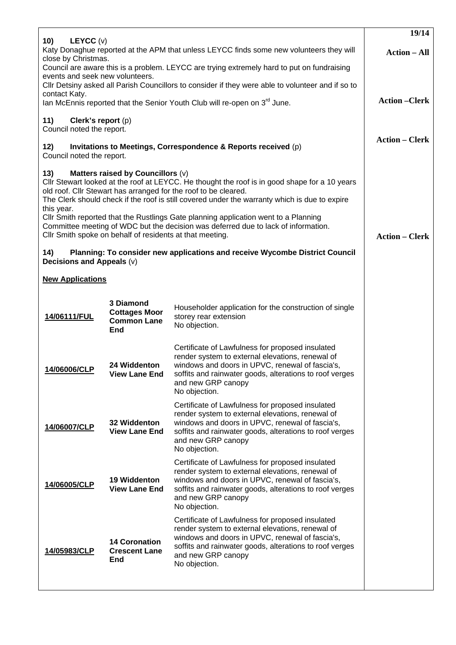| LEYCC (v)<br>10)                                                                                                                                                                                             |                                                                                               |                                                                                                                                                                                                                                                                                                                                                                                                                                                | 19/14                 |
|--------------------------------------------------------------------------------------------------------------------------------------------------------------------------------------------------------------|-----------------------------------------------------------------------------------------------|------------------------------------------------------------------------------------------------------------------------------------------------------------------------------------------------------------------------------------------------------------------------------------------------------------------------------------------------------------------------------------------------------------------------------------------------|-----------------------|
| Katy Donaghue reported at the APM that unless LEYCC finds some new volunteers they will<br>close by Christmas.<br>Council are aware this is a problem. LEYCC are trying extremely hard to put on fundraising |                                                                                               |                                                                                                                                                                                                                                                                                                                                                                                                                                                | <b>Action – All</b>   |
| events and seek new volunteers.                                                                                                                                                                              |                                                                                               |                                                                                                                                                                                                                                                                                                                                                                                                                                                |                       |
| contact Katy.                                                                                                                                                                                                |                                                                                               | CIIr Detsiny asked all Parish Councillors to consider if they were able to volunteer and if so to                                                                                                                                                                                                                                                                                                                                              | <b>Action-Clerk</b>   |
|                                                                                                                                                                                                              |                                                                                               | lan McEnnis reported that the Senior Youth Club will re-open on 3 <sup>rd</sup> June.                                                                                                                                                                                                                                                                                                                                                          |                       |
| Clerk's report (p)<br>11)<br>Council noted the report.                                                                                                                                                       |                                                                                               |                                                                                                                                                                                                                                                                                                                                                                                                                                                |                       |
| 12)<br>Council noted the report.                                                                                                                                                                             |                                                                                               | Invitations to Meetings, Correspondence & Reports received (p)                                                                                                                                                                                                                                                                                                                                                                                 | <b>Action – Clerk</b> |
| 13)<br>this year.                                                                                                                                                                                            | Matters raised by Councillors (v)<br>Cllr Smith spoke on behalf of residents at that meeting. | CIIr Stewart looked at the roof at LEYCC. He thought the roof is in good shape for a 10 years<br>old roof. Cllr Stewart has arranged for the roof to be cleared.<br>The Clerk should check if the roof is still covered under the warranty which is due to expire<br>CIIr Smith reported that the Rustlings Gate planning application went to a Planning<br>Committee meeting of WDC but the decision was deferred due to lack of information. | <b>Action – Clerk</b> |
| 14)<br>Decisions and Appeals (v)                                                                                                                                                                             |                                                                                               | Planning: To consider new applications and receive Wycombe District Council                                                                                                                                                                                                                                                                                                                                                                    |                       |
| <b>New Applications</b>                                                                                                                                                                                      |                                                                                               |                                                                                                                                                                                                                                                                                                                                                                                                                                                |                       |
| 14/06111/FUL                                                                                                                                                                                                 | 3 Diamond<br><b>Cottages Moor</b><br><b>Common Lane</b><br>End                                | Householder application for the construction of single<br>storey rear extension<br>No objection.                                                                                                                                                                                                                                                                                                                                               |                       |
| 14/06006/CLP                                                                                                                                                                                                 | 24 Widdenton<br><b>View Lane End</b>                                                          | Certificate of Lawfulness for proposed insulated<br>render system to external elevations, renewal of<br>windows and doors in UPVC, renewal of fascia's,<br>soffits and rainwater goods, alterations to roof verges<br>and new GRP canopy<br>No objection.                                                                                                                                                                                      |                       |
| 14/06007/CLP                                                                                                                                                                                                 | 32 Widdenton<br><b>View Lane End</b>                                                          | Certificate of Lawfulness for proposed insulated<br>render system to external elevations, renewal of<br>windows and doors in UPVC, renewal of fascia's,<br>soffits and rainwater goods, alterations to roof verges<br>and new GRP canopy<br>No objection.                                                                                                                                                                                      |                       |
| 14/06005/CLP                                                                                                                                                                                                 | <b>19 Widdenton</b><br><b>View Lane End</b>                                                   | Certificate of Lawfulness for proposed insulated<br>render system to external elevations, renewal of<br>windows and doors in UPVC, renewal of fascia's,<br>soffits and rainwater goods, alterations to roof verges<br>and new GRP canopy<br>No objection.                                                                                                                                                                                      |                       |
| 14/05983/CLP                                                                                                                                                                                                 | <b>14 Coronation</b><br><b>Crescent Lane</b><br><b>End</b>                                    | Certificate of Lawfulness for proposed insulated<br>render system to external elevations, renewal of<br>windows and doors in UPVC, renewal of fascia's,<br>soffits and rainwater goods, alterations to roof verges<br>and new GRP canopy<br>No objection.                                                                                                                                                                                      |                       |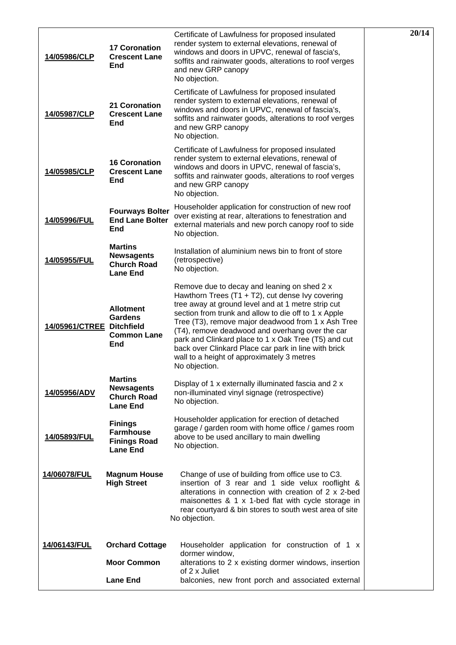| 14/05986/CLP              | <b>17 Coronation</b><br><b>Crescent Lane</b><br><b>End</b>                   | Certificate of Lawfulness for proposed insulated<br>render system to external elevations, renewal of<br>windows and doors in UPVC, renewal of fascia's,<br>soffits and rainwater goods, alterations to roof verges<br>and new GRP canopy<br>No objection.                                                                                                                                                                                                                                                | 20/14 |
|---------------------------|------------------------------------------------------------------------------|----------------------------------------------------------------------------------------------------------------------------------------------------------------------------------------------------------------------------------------------------------------------------------------------------------------------------------------------------------------------------------------------------------------------------------------------------------------------------------------------------------|-------|
| 14/05987/CLP              | 21 Coronation<br><b>Crescent Lane</b><br><b>End</b>                          | Certificate of Lawfulness for proposed insulated<br>render system to external elevations, renewal of<br>windows and doors in UPVC, renewal of fascia's,<br>soffits and rainwater goods, alterations to roof verges<br>and new GRP canopy<br>No objection.                                                                                                                                                                                                                                                |       |
| 14/05985/CLP              | <b>16 Coronation</b><br><b>Crescent Lane</b><br><b>End</b>                   | Certificate of Lawfulness for proposed insulated<br>render system to external elevations, renewal of<br>windows and doors in UPVC, renewal of fascia's,<br>soffits and rainwater goods, alterations to roof verges<br>and new GRP canopy<br>No objection.                                                                                                                                                                                                                                                |       |
| 14/05996/FUL              | <b>Fourways Bolter</b><br><b>End Lane Bolter</b><br><b>End</b>               | Householder application for construction of new roof<br>over existing at rear, alterations to fenestration and<br>external materials and new porch canopy roof to side<br>No objection.                                                                                                                                                                                                                                                                                                                  |       |
| 14/05955/FUL              | <b>Martins</b><br><b>Newsagents</b><br><b>Church Road</b><br><b>Lane End</b> | Installation of aluminium news bin to front of store<br>(retrospective)<br>No objection.                                                                                                                                                                                                                                                                                                                                                                                                                 |       |
| 14/05961/CTREE Ditchfield | <b>Allotment</b><br><b>Gardens</b><br><b>Common Lane</b><br>End              | Remove due to decay and leaning on shed 2 x<br>Hawthorn Trees $(T1 + T2)$ , cut dense Ivy covering<br>tree away at ground level and at 1 metre strip cut<br>section from trunk and allow to die off to 1 x Apple<br>Tree (T3), remove major deadwood from 1 x Ash Tree<br>(T4), remove deadwood and overhang over the car<br>park and Clinkard place to 1 x Oak Tree (T5) and cut<br>back over Clinkard Place car park in line with brick<br>wall to a height of approximately 3 metres<br>No objection. |       |
| 14/05956/ADV              | <b>Martins</b><br><b>Newsagents</b><br><b>Church Road</b><br><b>Lane End</b> | Display of 1 x externally illuminated fascia and 2 x<br>non-illuminated vinyl signage (retrospective)<br>No objection.                                                                                                                                                                                                                                                                                                                                                                                   |       |
| 14/05893/FUL              | <b>Finings</b><br><b>Farmhouse</b><br><b>Finings Road</b><br><b>Lane End</b> | Householder application for erection of detached<br>garage / garden room with home office / games room<br>above to be used ancillary to main dwelling<br>No objection.                                                                                                                                                                                                                                                                                                                                   |       |
| 14/06078/FUL              | <b>Magnum House</b><br><b>High Street</b>                                    | Change of use of building from office use to C3.<br>insertion of 3 rear and 1 side velux rooflight &<br>alterations in connection with creation of 2 x 2-bed<br>maisonettes & 1 x 1-bed flat with cycle storage in<br>rear courtyard & bin stores to south west area of site<br>No objection.                                                                                                                                                                                                            |       |
| 14/06143/FUL              | <b>Orchard Cottage</b>                                                       | Householder application for construction of 1 x<br>dormer window,                                                                                                                                                                                                                                                                                                                                                                                                                                        |       |
|                           | <b>Moor Common</b>                                                           | alterations to 2 x existing dormer windows, insertion<br>of 2 x Juliet                                                                                                                                                                                                                                                                                                                                                                                                                                   |       |
|                           | <b>Lane End</b>                                                              | balconies, new front porch and associated external                                                                                                                                                                                                                                                                                                                                                                                                                                                       |       |